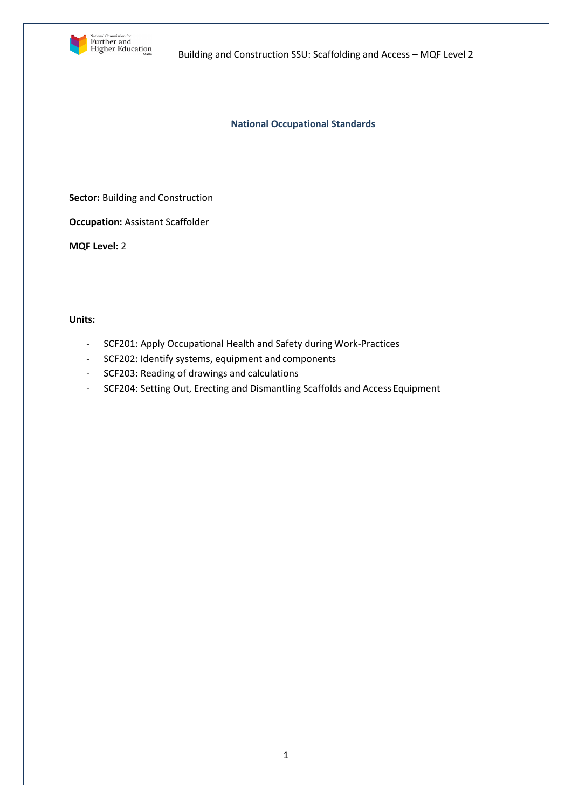

**National Occupational Standards**

**Sector: Building and Construction** 

**Occupation:** Assistant Scaffolder

**MQF Level:** 2

### **Units:**

- SCF201: Apply Occupational Health and Safety during Work-Practices
- SCF202: Identify systems, equipment and components
- SCF203: Reading of drawings and calculations
- SCF204: Setting Out, Erecting and Dismantling Scaffolds and Access Equipment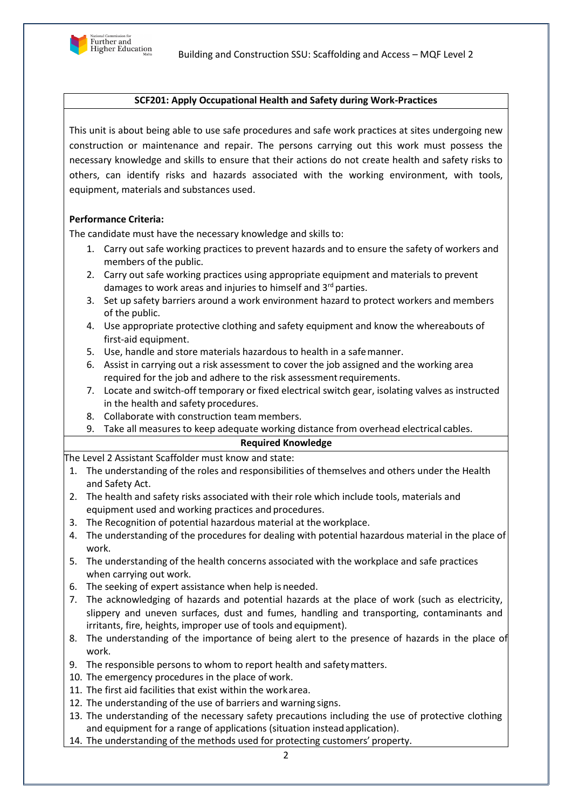

# **SCF201: Apply Occupational Health and Safety during Work-Practices**

This unit is about being able to use safe procedures and safe work practices at sites undergoing new construction or maintenance and repair. The persons carrying out this work must possess the necessary knowledge and skills to ensure that their actions do not create health and safety risks to others, can identify risks and hazards associated with the working environment, with tools, equipment, materials and substances used.

# **Performance Criteria:**

The candidate must have the necessary knowledge and skills to:

- 1. Carry out safe working practices to prevent hazards and to ensure the safety of workers and members of the public.
- 2. Carry out safe working practices using appropriate equipment and materials to prevent damages to work areas and injuries to himself and 3<sup>rd</sup> parties.
- 3. Set up safety barriers around a work environment hazard to protect workers and members of the public.
- 4. Use appropriate protective clothing and safety equipment and know the whereabouts of first-aid equipment.
- 5. Use, handle and store materials hazardous to health in a safemanner.
- 6. Assist in carrying out a risk assessment to cover the job assigned and the working area required for the job and adhere to the risk assessment requirements.
- 7. Locate and switch-off temporary or fixed electrical switch gear, isolating valves as instructed in the health and safety procedures.
- 8. Collaborate with construction team members.
- 9. Take all measures to keep adequate working distance from overhead electrical cables.

## **Required Knowledge**

The Level 2 Assistant Scaffolder must know and state:

- 1. The understanding of the roles and responsibilities of themselves and others under the Health and Safety Act.
- 2. The health and safety risks associated with their role which include tools, materials and equipment used and working practices and procedures.
- 3. The Recognition of potential hazardous material at the workplace.
- 4. The understanding of the procedures for dealing with potential hazardous material in the place of work.
- 5. The understanding of the health concerns associated with the workplace and safe practices when carrying out work.
- 6. The seeking of expert assistance when help is needed.
- 7. The acknowledging of hazards and potential hazards at the place of work (such as electricity, slippery and uneven surfaces, dust and fumes, handling and transporting, contaminants and irritants, fire, heights, improper use of tools and equipment).
- 8. The understanding of the importance of being alert to the presence of hazards in the place of work.
- 9. The responsible persons to whom to report health and safetymatters.
- 10. The emergency procedures in the place of work.
- 11. The first aid facilities that exist within the workarea.
- 12. The understanding of the use of barriers and warning signs.
- 13. The understanding of the necessary safety precautions including the use of protective clothing and equipment for a range of applications (situation instead application).
- 14. The understanding of the methods used for protecting customers' property.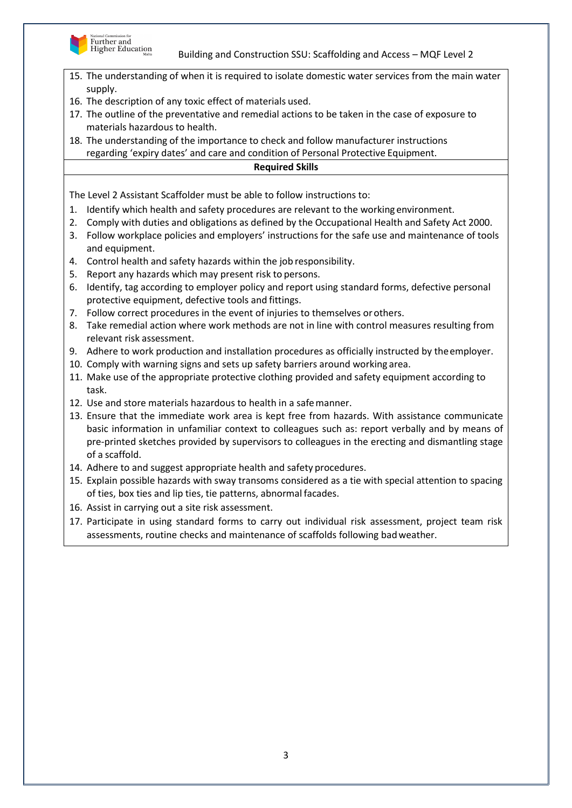



- 15. The understanding of when it is required to isolate domestic water services from the main water supply.
- 16. The description of any toxic effect of materials used.
- 17. The outline of the preventative and remedial actions to be taken in the case of exposure to materials hazardous to health.
- 18. The understanding of the importance to check and follow manufacturer instructions regarding 'expiry dates' and care and condition of Personal Protective Equipment.

## **Required Skills**

- 1. Identify which health and safety procedures are relevant to the working environment.
- 2. Comply with duties and obligations as defined by the Occupational Health and Safety Act 2000.
- 3. Follow workplace policies and employers' instructions for the safe use and maintenance of tools and equipment.
- 4. Control health and safety hazards within the job responsibility.
- 5. Report any hazards which may present risk to persons.
- 6. Identify, tag according to employer policy and report using standard forms, defective personal protective equipment, defective tools and fittings.
- 7. Follow correct procedures in the event of injuries to themselves orothers.
- 8. Take remedial action where work methods are not in line with control measures resulting from relevant risk assessment.
- 9. Adhere to work production and installation procedures as officially instructed by theemployer.
- 10. Comply with warning signs and sets up safety barriers around working area.
- 11. Make use of the appropriate protective clothing provided and safety equipment according to task.
- 12. Use and store materials hazardous to health in a safemanner.
- 13. Ensure that the immediate work area is kept free from hazards. With assistance communicate basic information in unfamiliar context to colleagues such as: report verbally and by means of pre-printed sketches provided by supervisors to colleagues in the erecting and dismantling stage of a scaffold.
- 14. Adhere to and suggest appropriate health and safety procedures.
- 15. Explain possible hazards with sway transoms considered as a tie with special attention to spacing of ties, box ties and lip ties, tie patterns, abnormal facades.
- 16. Assist in carrying out a site risk assessment.
- 17. Participate in using standard forms to carry out individual risk assessment, project team risk assessments, routine checks and maintenance of scaffolds following badweather.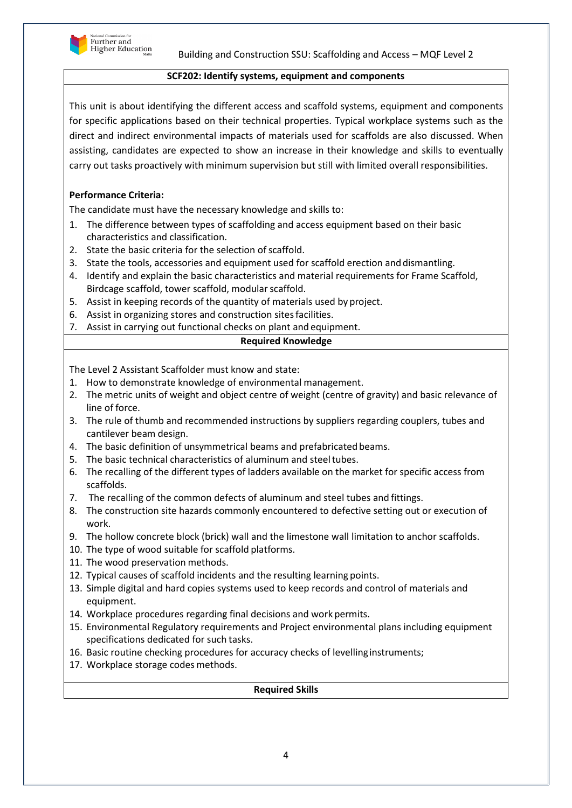

#### **SCF202: Identify systems, equipment and components**

This unit is about identifying the different access and scaffold systems, equipment and components for specific applications based on their technical properties. Typical workplace systems such as the direct and indirect environmental impacts of materials used for scaffolds are also discussed. When assisting, candidates are expected to show an increase in their knowledge and skills to eventually carry out tasks proactively with minimum supervision but still with limited overall responsibilities.

### **Performance Criteria:**

The candidate must have the necessary knowledge and skills to:

- 1. The difference between types of scaffolding and access equipment based on their basic characteristics and classification.
- 2. State the basic criteria for the selection of scaffold.
- 3. State the tools, accessories and equipment used for scaffold erection anddismantling.
- 4. Identify and explain the basic characteristics and material requirements for Frame Scaffold, Birdcage scaffold, tower scaffold, modular scaffold.
- 5. Assist in keeping records of the quantity of materials used by project.
- 6. Assist in organizing stores and construction sitesfacilities.
- 7. Assist in carrying out functional checks on plant and equipment.

#### **Required Knowledge**

The Level 2 Assistant Scaffolder must know and state:

- 1. How to demonstrate knowledge of environmental management.
- 2. The metric units of weight and object centre of weight (centre of gravity) and basic relevance of line of force.
- 3. The rule of thumb and recommended instructions by suppliers regarding couplers, tubes and cantilever beam design.
- 4. The basic definition of unsymmetrical beams and prefabricated beams.
- 5. The basic technical characteristics of aluminum and steeltubes.
- 6. The recalling of the different types of ladders available on the market for specific access from scaffolds.
- 7. The recalling of the common defects of aluminum and steel tubes and fittings.
- 8. The construction site hazards commonly encountered to defective setting out or execution of work.
- 9. The hollow concrete block (brick) wall and the limestone wall limitation to anchor scaffolds.
- 10. The type of wood suitable for scaffold platforms.
- 11. The wood preservation methods.
- 12. Typical causes of scaffold incidents and the resulting learning points.
- 13. Simple digital and hard copies systems used to keep records and control of materials and equipment.
- 14. Workplace procedures regarding final decisions and work permits.
- 15. Environmental Regulatory requirements and Project environmental plans including equipment specifications dedicated for such tasks.
- 16. Basic routine checking procedures for accuracy checks of levellinginstruments;
- 17. Workplace storage codes methods.

#### **Required Skills**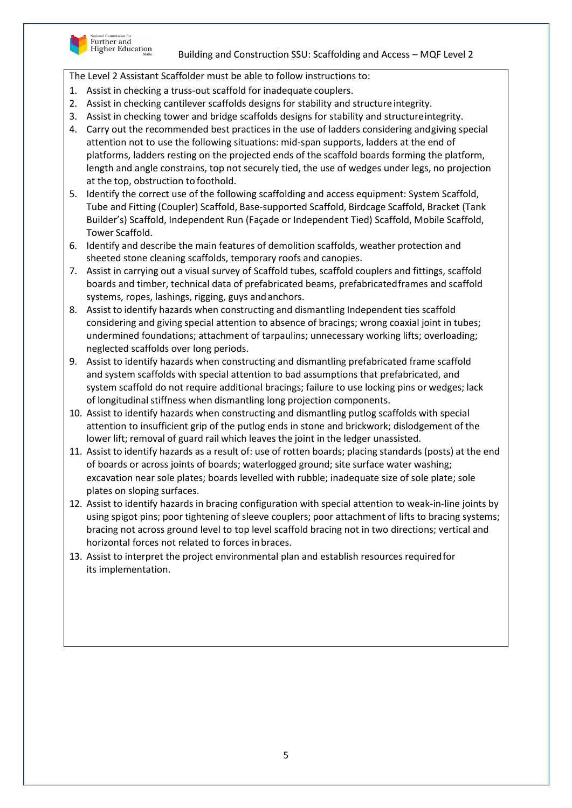

- 1. Assist in checking a truss-out scaffold for inadequate couplers.
- 2. Assist in checking cantilever scaffolds designs for stability and structure integrity.
- 3. Assist in checking tower and bridge scaffolds designs for stability and structureintegrity.
- 4. Carry out the recommended best practices in the use of ladders considering andgiving special attention not to use the following situations: mid-span supports, ladders at the end of platforms, ladders resting on the projected ends of the scaffold boards forming the platform, length and angle constrains, top not securely tied, the use of wedges under legs, no projection at the top, obstruction to foothold.
- 5. Identify the correct use of the following scaffolding and access equipment: System Scaffold, Tube and Fitting (Coupler) Scaffold, Base-supported Scaffold, Birdcage Scaffold, Bracket (Tank Builder's) Scaffold, Independent Run (Façade or Independent Tied) Scaffold, Mobile Scaffold, Tower Scaffold.
- 6. Identify and describe the main features of demolition scaffolds, weather protection and sheeted stone cleaning scaffolds, temporary roofs and canopies.
- 7. Assist in carrying out a visual survey of Scaffold tubes, scaffold couplers and fittings, scaffold boards and timber, technical data of prefabricated beams, prefabricatedframes and scaffold systems, ropes, lashings, rigging, guys andanchors.
- 8. Assist to identify hazards when constructing and dismantling Independent ties scaffold considering and giving special attention to absence of bracings; wrong coaxial joint in tubes; undermined foundations; attachment of tarpaulins; unnecessary working lifts; overloading; neglected scaffolds over long periods.
- 9. Assist to identify hazards when constructing and dismantling prefabricated frame scaffold and system scaffolds with special attention to bad assumptions that prefabricated, and system scaffold do not require additional bracings; failure to use locking pins or wedges; lack of longitudinal stiffness when dismantling long projection components.
- 10. Assist to identify hazards when constructing and dismantling putlog scaffolds with special attention to insufficient grip of the putlog ends in stone and brickwork; dislodgement of the lower lift; removal of guard rail which leaves the joint in the ledger unassisted.
- 11. Assist to identify hazards as a result of: use of rotten boards; placing standards (posts) at the end of boards or across joints of boards; waterlogged ground; site surface water washing; excavation near sole plates; boards levelled with rubble; inadequate size of sole plate; sole plates on sloping surfaces.
- 12. Assist to identify hazards in bracing configuration with special attention to weak-in-line joints by using spigot pins; poor tightening of sleeve couplers; poor attachment of lifts to bracing systems; bracing not across ground level to top level scaffold bracing not in two directions; vertical and horizontal forces not related to forces inbraces.
- 13. Assist to interpret the project environmental plan and establish resources requiredfor its implementation.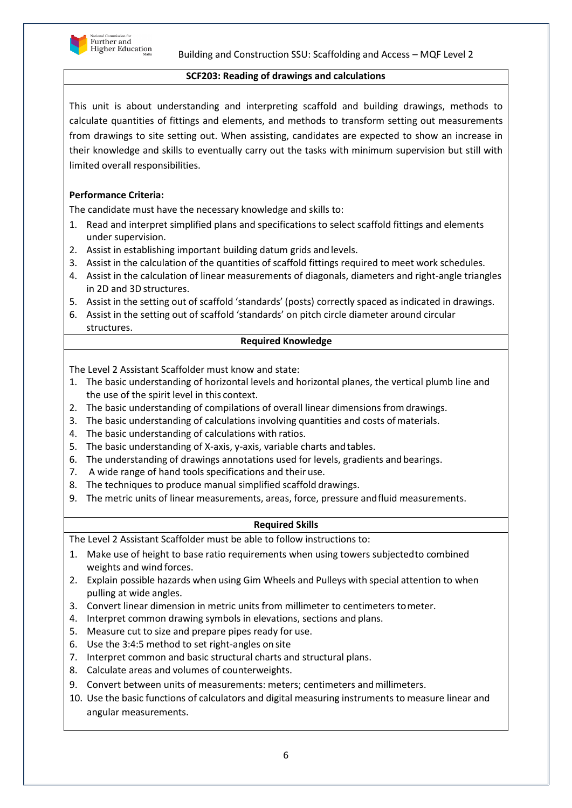

### **SCF203: Reading of drawings and calculations**

This unit is about understanding and interpreting scaffold and building drawings, methods to calculate quantities of fittings and elements, and methods to transform setting out measurements from drawings to site setting out. When assisting, candidates are expected to show an increase in their knowledge and skills to eventually carry out the tasks with minimum supervision but still with limited overall responsibilities.

## **Performance Criteria:**

The candidate must have the necessary knowledge and skills to:

- 1. Read and interpret simplified plans and specifications to select scaffold fittings and elements under supervision.
- 2. Assist in establishing important building datum grids andlevels.
- 3. Assist in the calculation of the quantities of scaffold fittings required to meet work schedules.
- 4. Assist in the calculation of linear measurements of diagonals, diameters and right-angle triangles in 2D and 3D structures.
- 5. Assist in the setting out of scaffold 'standards' (posts) correctly spaced as indicated in drawings.
- 6. Assist in the setting out of scaffold 'standards' on pitch circle diameter around circular structures.

#### **Required Knowledge**

The Level 2 Assistant Scaffolder must know and state:

- 1. The basic understanding of horizontal levels and horizontal planes, the vertical plumb line and the use of the spirit level in this context.
- 2. The basic understanding of compilations of overall linear dimensions fromdrawings.
- 3. The basic understanding of calculations involving quantities and costs ofmaterials.
- 4. The basic understanding of calculations with ratios.
- 5. The basic understanding of X-axis, y-axis, variable charts andtables.
- 6. The understanding of drawings annotations used for levels, gradients and bearings.
- 7. A wide range of hand tools specifications and their use.
- 8. The techniques to produce manual simplified scaffold drawings.
- 9. The metric units of linear measurements, areas, force, pressure andfluid measurements.

## **Required Skills**

- 1. Make use of height to base ratio requirements when using towers subjectedto combined weights and wind forces.
- 2. Explain possible hazards when using Gim Wheels and Pulleys with special attention to when pulling at wide angles.
- 3. Convert linear dimension in metric units from millimeter to centimeters tometer.
- 4. Interpret common drawing symbols in elevations, sections and plans.
- 5. Measure cut to size and prepare pipes ready for use.
- 6. Use the 3:4:5 method to set right-angles on site
- 7. Interpret common and basic structural charts and structural plans.
- 8. Calculate areas and volumes of counterweights.
- 9. Convert between units of measurements: meters; centimeters andmillimeters.
- 10. Use the basic functions of calculators and digital measuring instruments to measure linear and angular measurements.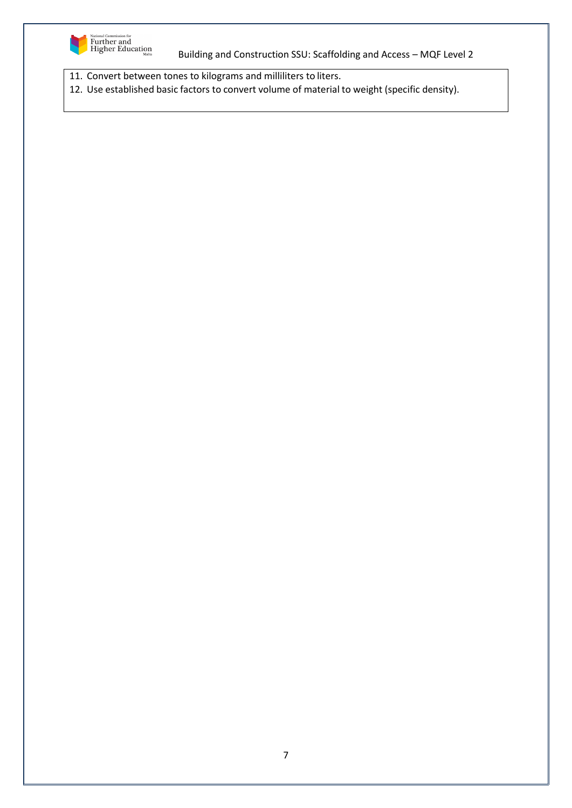

11. Convert between tones to kilograms and milliliters to liters.

12. Use established basic factors to convert volume of material to weight (specific density).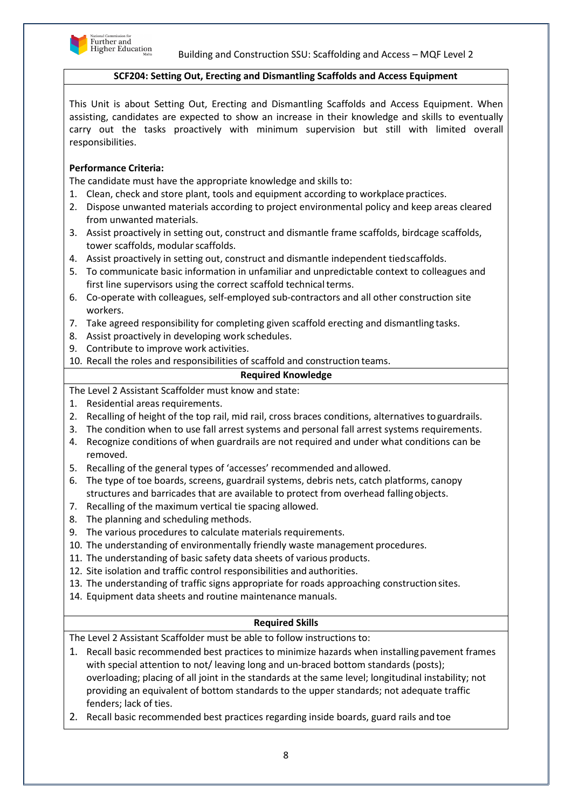

#### **SCF204: Setting Out, Erecting and Dismantling Scaffolds and Access Equipment**

This Unit is about Setting Out, Erecting and Dismantling Scaffolds and Access Equipment. When assisting, candidates are expected to show an increase in their knowledge and skills to eventually carry out the tasks proactively with minimum supervision but still with limited overall responsibilities.

### **Performance Criteria:**

The candidate must have the appropriate knowledge and skills to:

- 1. Clean, check and store plant, tools and equipment according to workplace practices.
- 2. Dispose unwanted materials according to project environmental policy and keep areas cleared from unwanted materials.
- 3. Assist proactively in setting out, construct and dismantle frame scaffolds, birdcage scaffolds, tower scaffolds, modular scaffolds.
- 4. Assist proactively in setting out, construct and dismantle independent tiedscaffolds.
- 5. To communicate basic information in unfamiliar and unpredictable context to colleagues and first line supervisors using the correct scaffold technical terms.
- 6. Co-operate with colleagues, self-employed sub-contractors and all other construction site workers.
- 7. Take agreed responsibility for completing given scaffold erecting and dismantling tasks.
- 8. Assist proactively in developing work schedules.
- 9. Contribute to improve work activities.
- 10. Recall the roles and responsibilities of scaffold and construction teams.

#### **Required Knowledge**

The Level 2 Assistant Scaffolder must know and state:

- 1. Residential areas requirements.
- 2. Recalling of height of the top rail, mid rail, cross braces conditions, alternatives toguardrails.
- 3. The condition when to use fall arrest systems and personal fall arrest systems requirements.
- 4. Recognize conditions of when guardrails are not required and under what conditions can be removed.
- 5. Recalling of the general types of 'accesses' recommended and allowed.
- 6. The type of toe boards, screens, guardrail systems, debris nets, catch platforms, canopy structures and barricades that are available to protect from overhead fallingobjects.
- 7. Recalling of the maximum vertical tie spacing allowed.
- 8. The planning and scheduling methods.
- 9. The various procedures to calculate materials requirements.
- 10. The understanding of environmentally friendly waste management procedures.
- 11. The understanding of basic safety data sheets of various products.
- 12. Site isolation and traffic control responsibilities and authorities.
- 13. The understanding of traffic signs appropriate for roads approaching construction sites.
- 14. Equipment data sheets and routine maintenance manuals.

## **Required Skills**

- 1. Recall basic recommended best practices to minimize hazards when installingpavement frames with special attention to not/ leaving long and un-braced bottom standards (posts); overloading; placing of all joint in the standards at the same level; longitudinal instability; not providing an equivalent of bottom standards to the upper standards; not adequate traffic fenders; lack of ties.
- 2. Recall basic recommended best practices regarding inside boards, guard rails and toe